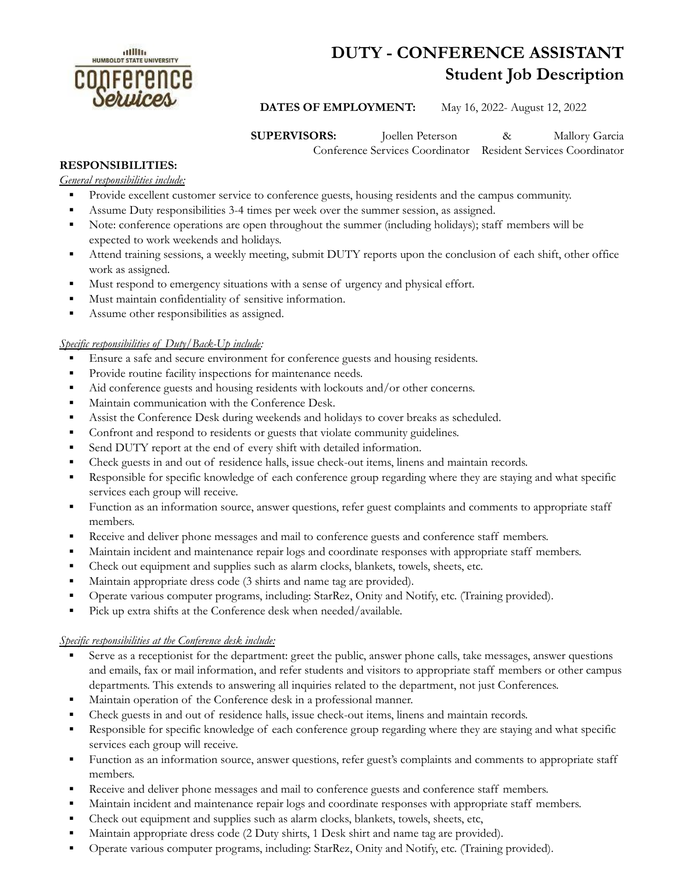

# **DUTY - CONFERENCE ASSISTANT Student Job Description**

**DATES OF EMPLOYMENT:** May 16, 2022- August 12, 2022

**SUPERVISORS:** Joellen Peterson & Mallory Garcia

Conference Services Coordinator Resident Services Coordinator

## **RESPONSIBILITIES:**

*General responsibilities include:*

- Provide excellent customer service to conference guests, housing residents and the campus community.
- Assume Duty responsibilities 3-4 times per week over the summer session, as assigned.
- Note: conference operations are open throughout the summer (including holidays); staff members will be expected to work weekends and holidays.
- Attend training sessions, a weekly meeting, submit DUTY reports upon the conclusion of each shift, other office work as assigned.
- Must respond to emergency situations with a sense of urgency and physical effort.
- Must maintain confidentiality of sensitive information.
- **•** Assume other responsibilities as assigned.

#### *Specific responsibilities of Duty/Back-Up include:*

- Ensure a safe and secure environment for conference guests and housing residents.
- **•** Provide routine facility inspections for maintenance needs.
- Aid conference guests and housing residents with lockouts and/or other concerns.
- **■** Maintain communication with the Conference Desk.
- **•** Assist the Conference Desk during weekends and holidays to cover breaks as scheduled.
- **•** Confront and respond to residents or guests that violate community guidelines.
- Send DUTY report at the end of every shift with detailed information.
- Check guests in and out of residence halls, issue check-out items, linens and maintain records.
- Responsible for specific knowledge of each conference group regarding where they are staying and what specific services each group will receive.
- Function as an information source, answer questions, refer guest complaints and comments to appropriate staff members.
- Receive and deliver phone messages and mail to conference guests and conference staff members.
- Maintain incident and maintenance repair logs and coordinate responses with appropriate staff members.
- Check out equipment and supplies such as alarm clocks, blankets, towels, sheets, etc.
- Maintain appropriate dress code (3 shirts and name tag are provided).
- Operate various computer programs, including: StarRez, Onity and Notify, etc. (Training provided).
- Pick up extra shifts at the Conference desk when needed/available.

#### *Specific responsibilities at the Conference desk include:*

- Serve as a receptionist for the department: greet the public, answer phone calls, take messages, answer questions and emails, fax or mail information, and refer students and visitors to appropriate staff members or other campus departments. This extends to answering all inquiries related to the department, not just Conferences.
- **In Maintain operation of the Conference desk in a professional manner.**
- Check guests in and out of residence halls, issue check-out items, linens and maintain records.
- Responsible for specific knowledge of each conference group regarding where they are staying and what specific services each group will receive.
- Function as an information source, answer questions, refer guest's complaints and comments to appropriate staff members.
- Receive and deliver phone messages and mail to conference guests and conference staff members.
- **■** Maintain incident and maintenance repair logs and coordinate responses with appropriate staff members.
- Check out equipment and supplies such as alarm clocks, blankets, towels, sheets, etc,
- Maintain appropriate dress code (2 Duty shirts, 1 Desk shirt and name tag are provided).
- Operate various computer programs, including: StarRez, Onity and Notify, etc. (Training provided).